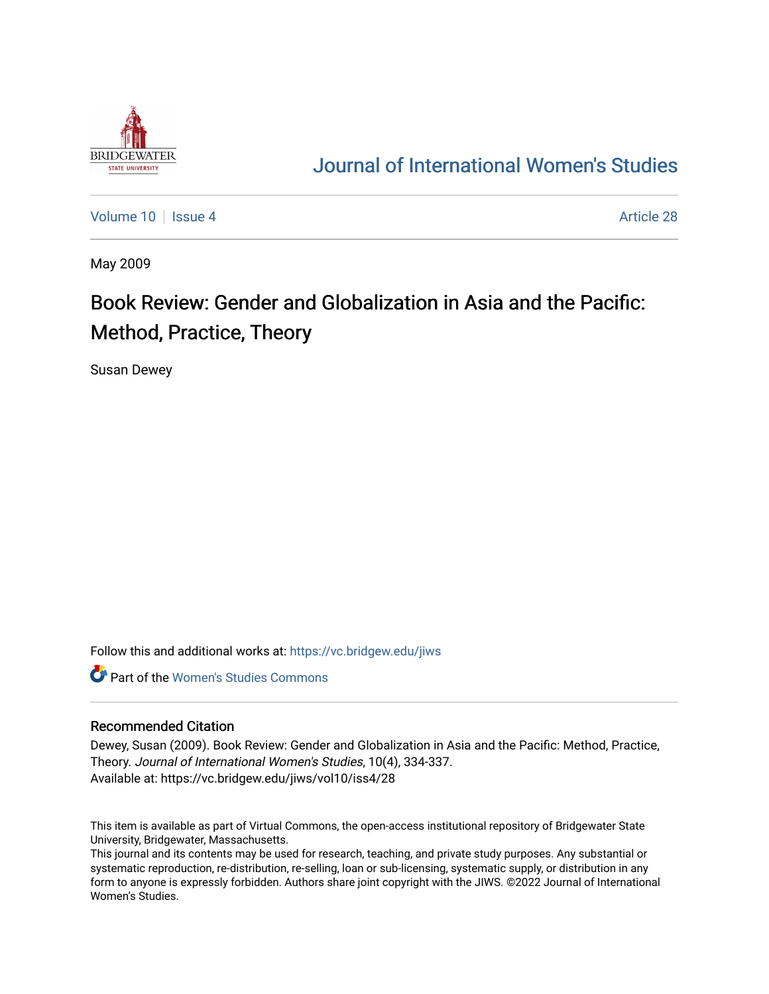

## [Journal of International Women's Studies](https://vc.bridgew.edu/jiws)

[Volume 10](https://vc.bridgew.edu/jiws/vol10) | [Issue 4](https://vc.bridgew.edu/jiws/vol10/iss4) Article 28

May 2009

## Book Review: Gender and Globalization in Asia and the Pacific: Method, Practice, Theory

Susan Dewey

Follow this and additional works at: [https://vc.bridgew.edu/jiws](https://vc.bridgew.edu/jiws?utm_source=vc.bridgew.edu%2Fjiws%2Fvol10%2Fiss4%2F28&utm_medium=PDF&utm_campaign=PDFCoverPages)

**C** Part of the Women's Studies Commons

## Recommended Citation

Dewey, Susan (2009). Book Review: Gender and Globalization in Asia and the Pacific: Method, Practice, Theory. Journal of International Women's Studies, 10(4), 334-337. Available at: https://vc.bridgew.edu/jiws/vol10/iss4/28

This item is available as part of Virtual Commons, the open-access institutional repository of Bridgewater State University, Bridgewater, Massachusetts.

This journal and its contents may be used for research, teaching, and private study purposes. Any substantial or systematic reproduction, re-distribution, re-selling, loan or sub-licensing, systematic supply, or distribution in any form to anyone is expressly forbidden. Authors share joint copyright with the JIWS. ©2022 Journal of International Women's Studies.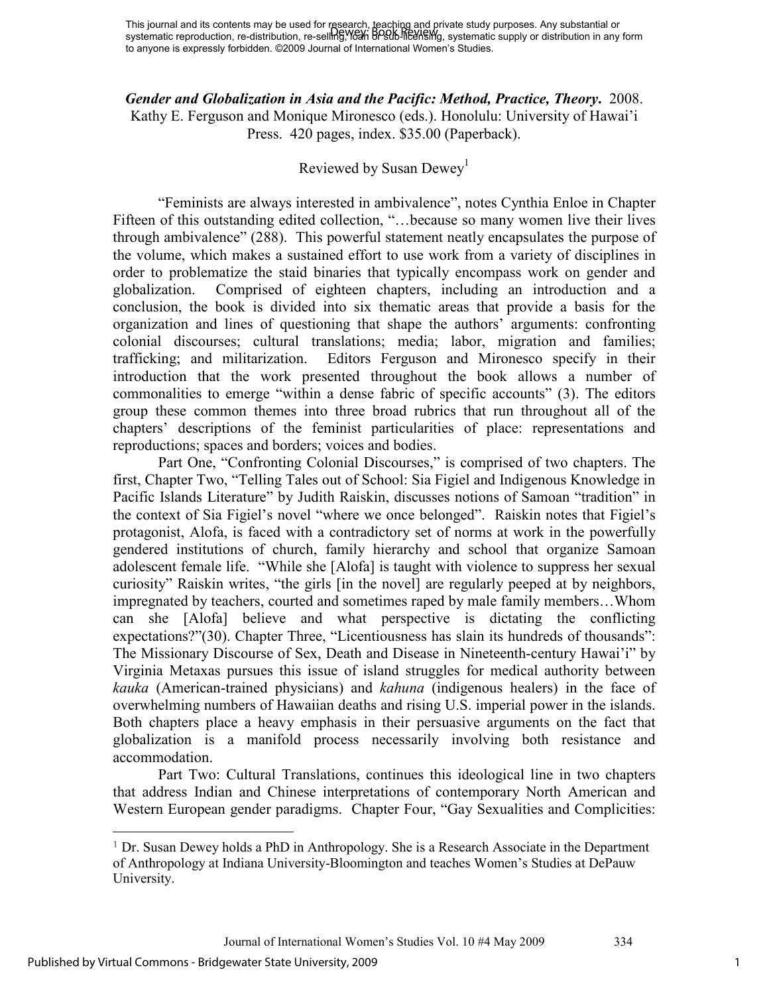*Gender and Globalization in Asia and the Pacific: Method, Practice, Theory***.** 2008. Kathy E. Ferguson and Monique Mironesco (eds.). Honolulu: University of Hawai'i Press. 420 pages, index. \$35.00 (Paperback).

## Reviewed by Susan Dewey<sup>1</sup>

"Feminists are always interested in ambivalence", notes Cynthia Enloe in Chapter Fifteen of this outstanding edited collection, "...because so many women live their lives through ambivalence" (288). This powerful statement neatly encapsulates the purpose of the volume, which makes a sustained effort to use work from a variety of disciplines in order to problematize the staid binaries that typically encompass work on gender and globalization. Comprised of eighteen chapters, including an introduction and a conclusion, the book is divided into six thematic areas that provide a basis for the organization and lines of questioning that shape the authors' arguments: confronting colonial discourses; cultural translations; media; labor, migration and families; trafficking; and militarization. Editors Ferguson and Mironesco specify in their introduction that the work presented throughout the book allows a number of commonalities to emerge "within a dense fabric of specific accounts" (3). The editors group these common themes into three broad rubrics that run throughout all of the chapters' descriptions of the feminist particularities of place: representations and reproductions; spaces and borders; voices and bodies.

Part One, "Confronting Colonial Discourses," is comprised of two chapters. The first, Chapter Two, "Telling Tales out of School: Sia Figiel and Indigenous Knowledge in Pacific Islands Literature" by Judith Raiskin, discusses notions of Samoan "tradition" in the context of Sia Figiel's novel "where we once belonged". Raiskin notes that Figiel's protagonist, Alofa, is faced with a contradictory set of norms at work in the powerfully gendered institutions of church, family hierarchy and school that organize Samoan adolescent female life. "While she [Alofa] is taught with violence to suppress her sexual curiosity" Raiskin writes, "the girls [in the novel] are regularly peeped at by neighbors, impregnated by teachers, courted and sometimes raped by male family members…Whom can she [Alofa] believe and what perspective is dictating the conflicting expectations?"(30). Chapter Three, "Licentiousness has slain its hundreds of thousands": The Missionary Discourse of Sex, Death and Disease in Nineteenth-century Hawai'i" by Virginia Metaxas pursues this issue of island struggles for medical authority between *kauka* (American-trained physicians) and *kahuna* (indigenous healers) in the face of overwhelming numbers of Hawaiian deaths and rising U.S. imperial power in the islands. Both chapters place a heavy emphasis in their persuasive arguments on the fact that globalization is a manifold process necessarily involving both resistance and accommodation.

 Part Two: Cultural Translations, continues this ideological line in two chapters that address Indian and Chinese interpretations of contemporary North American and Western European gender paradigms. Chapter Four, "Gay Sexualities and Complicities:

<sup>1</sup> Dr. Susan Dewey holds a PhD in Anthropology. She is a Research Associate in the Department of Anthropology at Indiana University-Bloomington and teaches Women's Studies at DePauw University.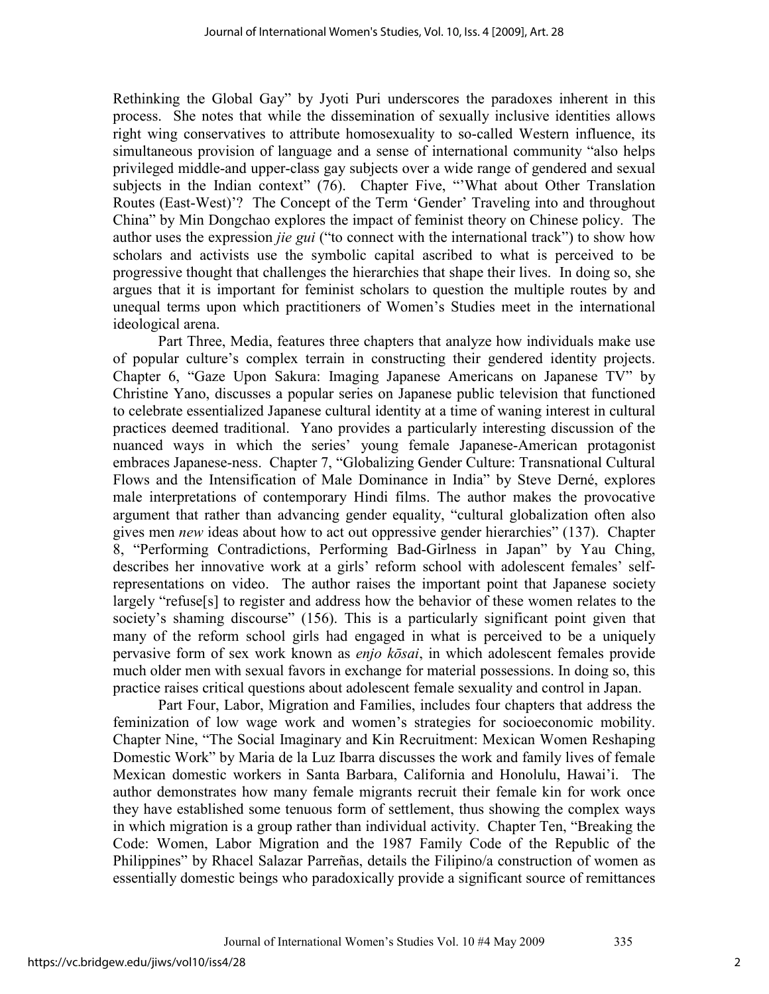Rethinking the Global Gay" by Jyoti Puri underscores the paradoxes inherent in this process. She notes that while the dissemination of sexually inclusive identities allows right wing conservatives to attribute homosexuality to so-called Western influence, its simultaneous provision of language and a sense of international community "also helps privileged middle-and upper-class gay subjects over a wide range of gendered and sexual subjects in the Indian context" (76). Chapter Five, "What about Other Translation Routes (East-West)'? The Concept of the Term 'Gender' Traveling into and throughout China" by Min Dongchao explores the impact of feminist theory on Chinese policy. The author uses the expression *jie gui* ("to connect with the international track") to show how scholars and activists use the symbolic capital ascribed to what is perceived to be progressive thought that challenges the hierarchies that shape their lives. In doing so, she argues that it is important for feminist scholars to question the multiple routes by and unequal terms upon which practitioners of Women's Studies meet in the international ideological arena.

 Part Three, Media, features three chapters that analyze how individuals make use of popular culture's complex terrain in constructing their gendered identity projects. Chapter 6, "Gaze Upon Sakura: Imaging Japanese Americans on Japanese TV" by Christine Yano, discusses a popular series on Japanese public television that functioned to celebrate essentialized Japanese cultural identity at a time of waning interest in cultural practices deemed traditional. Yano provides a particularly interesting discussion of the nuanced ways in which the series' young female Japanese-American protagonist embraces Japanese-ness. Chapter 7, "Globalizing Gender Culture: Transnational Cultural Flows and the Intensification of Male Dominance in India" by Steve Derné, explores male interpretations of contemporary Hindi films. The author makes the provocative argument that rather than advancing gender equality, "cultural globalization often also gives men *new* ideas about how to act out oppressive gender hierarchies" (137). Chapter 8, "Performing Contradictions, Performing Bad-Girlness in Japan" by Yau Ching, describes her innovative work at a girls' reform school with adolescent females' selfrepresentations on video. The author raises the important point that Japanese society largely "refuse[s] to register and address how the behavior of these women relates to the society's shaming discourse" (156). This is a particularly significant point given that many of the reform school girls had engaged in what is perceived to be a uniquely pervasive form of sex work known as *enjo kōsai*, in which adolescent females provide much older men with sexual favors in exchange for material possessions. In doing so, this practice raises critical questions about adolescent female sexuality and control in Japan.

 Part Four, Labor, Migration and Families, includes four chapters that address the feminization of low wage work and women's strategies for socioeconomic mobility. Chapter Nine, "The Social Imaginary and Kin Recruitment: Mexican Women Reshaping Domestic Work" by Maria de la Luz Ibarra discusses the work and family lives of female Mexican domestic workers in Santa Barbara, California and Honolulu, Hawai'i. The author demonstrates how many female migrants recruit their female kin for work once they have established some tenuous form of settlement, thus showing the complex ways in which migration is a group rather than individual activity. Chapter Ten, "Breaking the Code: Women, Labor Migration and the 1987 Family Code of the Republic of the Philippines" by Rhacel Salazar Parreñas, details the Filipino/a construction of women as essentially domestic beings who paradoxically provide a significant source of remittances

2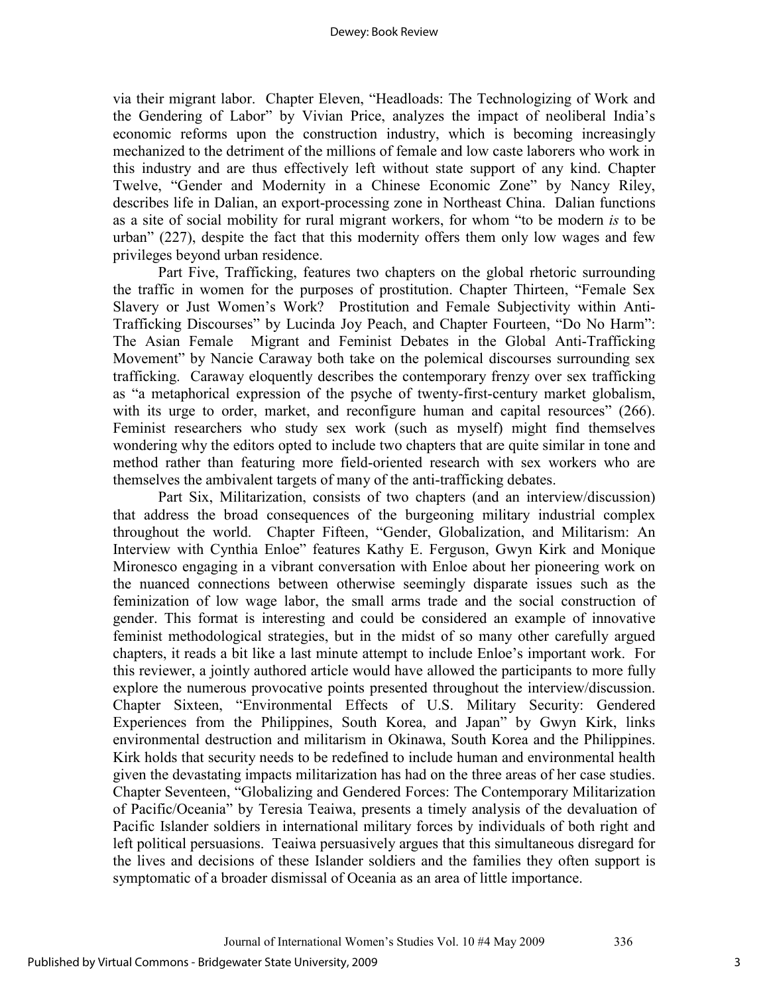via their migrant labor. Chapter Eleven, "Headloads: The Technologizing of Work and the Gendering of Labor" by Vivian Price, analyzes the impact of neoliberal India's economic reforms upon the construction industry, which is becoming increasingly mechanized to the detriment of the millions of female and low caste laborers who work in this industry and are thus effectively left without state support of any kind. Chapter Twelve, "Gender and Modernity in a Chinese Economic Zone" by Nancy Riley, describes life in Dalian, an export-processing zone in Northeast China. Dalian functions as a site of social mobility for rural migrant workers, for whom "to be modern *is* to be urban" (227), despite the fact that this modernity offers them only low wages and few privileges beyond urban residence.

 Part Five, Trafficking, features two chapters on the global rhetoric surrounding the traffic in women for the purposes of prostitution. Chapter Thirteen, "Female Sex Slavery or Just Women's Work? Prostitution and Female Subjectivity within Anti-Trafficking Discourses" by Lucinda Joy Peach, and Chapter Fourteen, "Do No Harm": The Asian Female Migrant and Feminist Debates in the Global Anti-Trafficking Movement" by Nancie Caraway both take on the polemical discourses surrounding sex trafficking. Caraway eloquently describes the contemporary frenzy over sex trafficking as "a metaphorical expression of the psyche of twenty-first-century market globalism, with its urge to order, market, and reconfigure human and capital resources" (266). Feminist researchers who study sex work (such as myself) might find themselves wondering why the editors opted to include two chapters that are quite similar in tone and method rather than featuring more field-oriented research with sex workers who are themselves the ambivalent targets of many of the anti-trafficking debates.

 Part Six, Militarization, consists of two chapters (and an interview/discussion) that address the broad consequences of the burgeoning military industrial complex throughout the world. Chapter Fifteen, "Gender, Globalization, and Militarism: An Interview with Cynthia Enloe" features Kathy E. Ferguson, Gwyn Kirk and Monique Mironesco engaging in a vibrant conversation with Enloe about her pioneering work on the nuanced connections between otherwise seemingly disparate issues such as the feminization of low wage labor, the small arms trade and the social construction of gender. This format is interesting and could be considered an example of innovative feminist methodological strategies, but in the midst of so many other carefully argued chapters, it reads a bit like a last minute attempt to include Enloe's important work. For this reviewer, a jointly authored article would have allowed the participants to more fully explore the numerous provocative points presented throughout the interview/discussion. Chapter Sixteen, "Environmental Effects of U.S. Military Security: Gendered Experiences from the Philippines, South Korea, and Japan" by Gwyn Kirk, links environmental destruction and militarism in Okinawa, South Korea and the Philippines. Kirk holds that security needs to be redefined to include human and environmental health given the devastating impacts militarization has had on the three areas of her case studies. Chapter Seventeen, "Globalizing and Gendered Forces: The Contemporary Militarization of Pacific/Oceania" by Teresia Teaiwa, presents a timely analysis of the devaluation of Pacific Islander soldiers in international military forces by individuals of both right and left political persuasions. Teaiwa persuasively argues that this simultaneous disregard for the lives and decisions of these Islander soldiers and the families they often support is symptomatic of a broader dismissal of Oceania as an area of little importance.